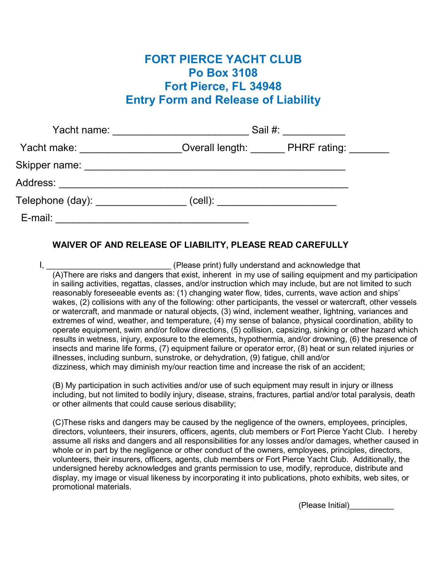## FORT PIERCE YACHT CLUB Po Box 3108 Fort Pierce, FL 34948 Entry Form and Release of Liability

| Yacht name: ___________________     | Sail #: ___________ |                                     |
|-------------------------------------|---------------------|-------------------------------------|
| Yacht make: __________________      |                     | Overall length: PHRF rating: ______ |
|                                     |                     |                                     |
|                                     |                     |                                     |
| Telephone (day): __________________ |                     |                                     |
| E-mail:                             |                     |                                     |

## WAIVER OF AND RELEASE OF LIABILITY, PLEASE READ CAREFULLY

I, \_\_\_\_\_\_\_\_\_\_\_\_\_\_\_\_\_\_\_\_\_\_\_\_\_\_\_\_ (Please print) fully understand and acknowledge that (A)There are risks and dangers that exist, inherent in my use of sailing equipment and my participation in sailing activities, regattas, classes, and/or instruction which may include, but are not limited to such reasonably foreseeable events as: (1) changing water flow, tides, currents, wave action and ships' wakes, (2) collisions with any of the following: other participants, the vessel or watercraft, other vessels or watercraft, and manmade or natural objects, (3) wind, inclement weather, lightning, variances and extremes of wind, weather, and temperature, (4) my sense of balance, physical coordination, ability to operate equipment, swim and/or follow directions, (5) collision, capsizing, sinking or other hazard which results in wetness, injury, exposure to the elements, hypothermia, and/or drowning, (6) the presence of insects and marine life forms, (7) equipment failure or operator error, (8) heat or sun related injuries or illnesses, including sunburn, sunstroke, or dehydration, (9) fatigue, chill and/or dizziness, which may diminish my/our reaction time and increase the risk of an accident;

(B) My participation in such activities and/or use of such equipment may result in injury or illness including, but not limited to bodily injury, disease, strains, fractures, partial and/or total paralysis, death or other ailments that could cause serious disability;

(C)These risks and dangers may be caused by the negligence of the owners, employees, principles, directors, volunteers, their insurers, officers, agents, club members or Fort Pierce Yacht Club. I hereby assume all risks and dangers and all responsibilities for any losses and/or damages, whether caused in whole or in part by the negligence or other conduct of the owners, employees, principles, directors, volunteers, their insurers, officers, agents, club members or Fort Pierce Yacht Club. Additionally, the undersigned hereby acknowledges and grants permission to use, modify, reproduce, distribute and display, my image or visual likeness by incorporating it into publications, photo exhibits, web sites, or promotional materials.

(Please Initial)\_\_\_\_\_\_\_\_\_\_